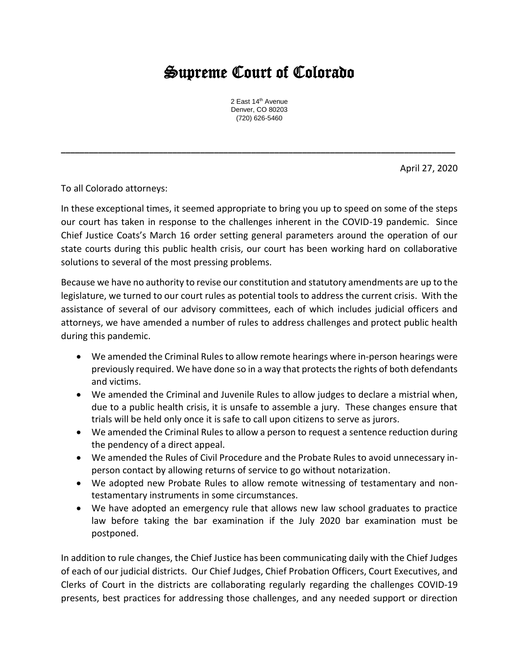## Supreme Court of Colorado

2 East 14<sup>th</sup> Avenue Denver, CO 80203 (720) 626-5460

**\_\_\_\_\_\_\_\_\_\_\_\_\_\_\_\_\_\_\_\_\_\_\_\_\_\_\_\_\_\_\_\_\_\_\_\_\_\_\_\_\_\_\_\_\_\_\_\_\_\_\_\_\_\_\_\_\_\_\_\_\_\_\_\_\_\_\_\_\_\_\_\_\_\_\_\_\_\_\_\_\_\_\_\_\_**

April 27, 2020

To all Colorado attorneys:

In these exceptional times, it seemed appropriate to bring you up to speed on some of the steps our court has taken in response to the challenges inherent in the COVID-19 pandemic. Since Chief Justice Coats's March 16 order setting general parameters around the operation of our state courts during this public health crisis, our court has been working hard on collaborative solutions to several of the most pressing problems.

Because we have no authority to revise our constitution and statutory amendments are up to the legislature, we turned to our court rules as potential tools to address the current crisis. With the assistance of several of our advisory committees, each of which includes judicial officers and attorneys, we have amended a number of rules to address challenges and protect public health during this pandemic.

- We amended the Criminal Rules to allow remote hearings where in-person hearings were previously required. We have done so in a way that protects the rights of both defendants and victims.
- We amended the Criminal and Juvenile Rules to allow judges to declare a mistrial when, due to a public health crisis, it is unsafe to assemble a jury. These changes ensure that trials will be held only once it is safe to call upon citizens to serve as jurors.
- We amended the Criminal Rules to allow a person to request a sentence reduction during the pendency of a direct appeal.
- We amended the Rules of Civil Procedure and the Probate Rules to avoid unnecessary inperson contact by allowing returns of service to go without notarization.
- We adopted new Probate Rules to allow remote witnessing of testamentary and nontestamentary instruments in some circumstances.
- We have adopted an emergency rule that allows new law school graduates to practice law before taking the bar examination if the July 2020 bar examination must be postponed.

In addition to rule changes, the Chief Justice has been communicating daily with the Chief Judges of each of our judicial districts. Our Chief Judges, Chief Probation Officers, Court Executives, and Clerks of Court in the districts are collaborating regularly regarding the challenges COVID-19 presents, best practices for addressing those challenges, and any needed support or direction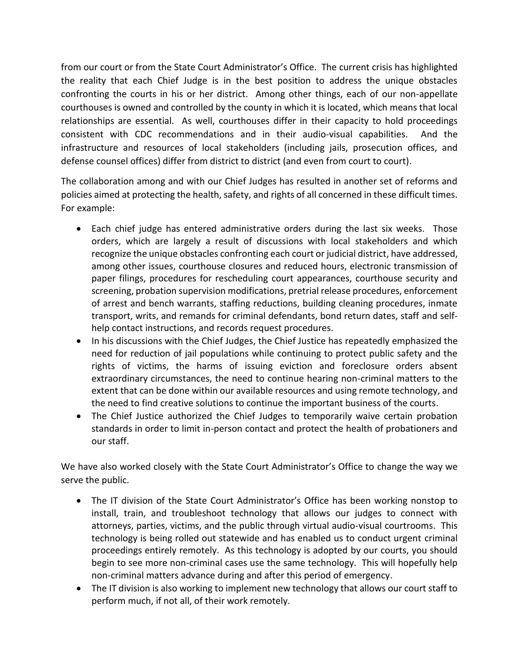from our court or from the State Court Administrator's Office. The current crisis has highlighted the reality that each Chief Judge is in the best position to address the unique obstacles confronting the courts in his or her district. Among other things, each of our non-appellate courthouses is owned and controlled by the county in which it is located, which means that local relationships are essential. As well, courthouses differ in their capacity to hold proceedings consistent with CDC recommendations and in their audio-visual capabilities. And the infrastructure and resources of local stakeholders (including jails, prosecution offices, and defense counsel offices) differ from district to district (and even from court to court).

The collaboration among and with our Chief Judges has resulted in another set of reforms and policies aimed at protecting the health, safety, and rights of all concerned in these difficult times. For example:

- Each chief judge has entered administrative orders during the last six weeks. Those orders, which are largely a result of discussions with local stakeholders and which recognize the unique obstacles confronting each court or judicial district, have addressed, among other issues, courthouse closures and reduced hours, electronic transmission of paper filings, procedures for rescheduling court appearances, courthouse security and screening, probation supervision modifications, pretrial release procedures, enforcement of arrest and bench warrants, staffing reductions, building cleaning procedures, inmate transport, writs, and remands for criminal defendants, bond return dates, staff and selfhelp contact instructions, and records request procedures.
- In his discussions with the Chief Judges, the Chief Justice has repeatedly emphasized the need for reduction of jail populations while continuing to protect public safety and the rights of victims, the harms of issuing eviction and foreclosure orders absent extraordinary circumstances, the need to continue hearing non-criminal matters to the extent that can be done within our available resources and using remote technology, and the need to find creative solutions to continue the important business of the courts.
- The Chief Justice authorized the Chief Judges to temporarily waive certain probation standards in order to limit in-person contact and protect the health of probationers and our staff.

We have also worked closely with the State Court Administrator's Office to change the way we serve the public.

- The IT division of the State Court Administrator's Office has been working nonstop to install, train, and troubleshoot technology that allows our judges to connect with attorneys, parties, victims, and the public through virtual audio-visual courtrooms. This technology is being rolled out statewide and has enabled us to conduct urgent criminal proceedings entirely remotely. As this technology is adopted by our courts, you should begin to see more non-criminal cases use the same technology. This will hopefully help non-criminal matters advance during and after this period of emergency.
- The IT division is also working to implement new technology that allows our court staff to perform much, if not all, of their work remotely.